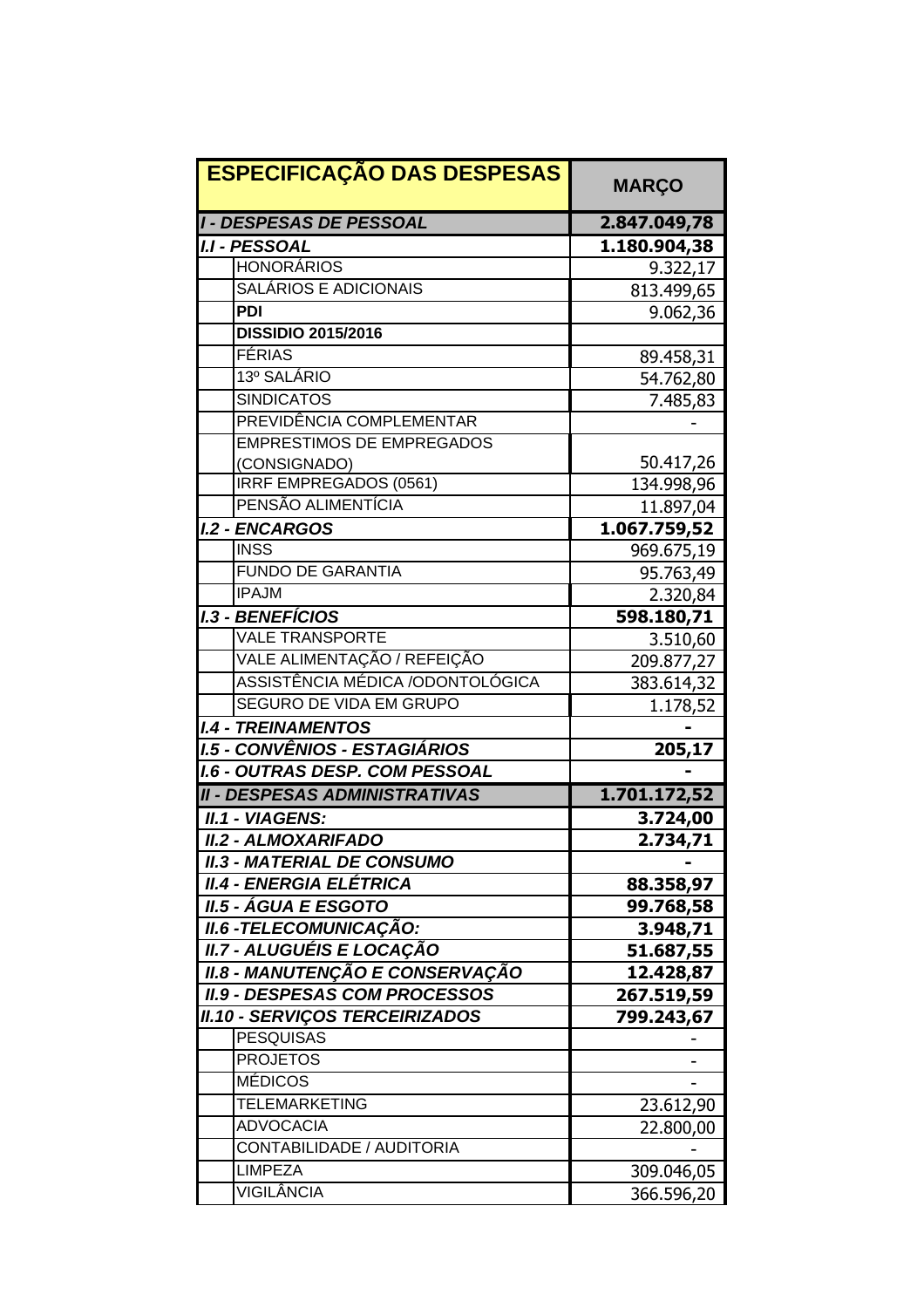| <b>ESPECIFICAÇÃO DAS DESPESAS</b>      | <b>MARÇO</b> |
|----------------------------------------|--------------|
| <b>I - DESPESAS DE PESSOAL</b>         | 2.847.049,78 |
| <b>I.I - PESSOAL</b>                   | 1.180.904,38 |
| <b>HONORÁRIOS</b>                      | 9.322,17     |
| SALÁRIOS E ADICIONAIS                  | 813.499,65   |
| <b>PDI</b>                             | 9.062,36     |
| <b>DISSIDIO 2015/2016</b>              |              |
| <b>FÉRIAS</b>                          | 89.458,31    |
| 13º SALÁRIO                            | 54.762,80    |
| <b>SINDICATOS</b>                      | 7.485,83     |
| PREVIDÊNCIA COMPLEMENTAR               |              |
| <b>EMPRESTIMOS DE EMPREGADOS</b>       |              |
| (CONSIGNADO)                           | 50.417,26    |
| IRRF EMPREGADOS (0561)                 | 134.998,96   |
| PENSÃO ALIMENTÍCIA                     | 11.897,04    |
| <b>I.2 - ENCARGOS</b>                  | 1.067.759,52 |
| <b>INSS</b>                            | 969.675,19   |
| <b>FUNDO DE GARANTIA</b>               | 95.763,49    |
| <b>IPAJM</b>                           | 2.320,84     |
| <b>I.3 - BENEFÍCIOS</b>                | 598.180,71   |
| <b>VALE TRANSPORTE</b>                 | 3.510,60     |
| VALE ALIMENTAÇÃO / REFEIÇÃO            | 209.877,27   |
| ASSISTÊNCIA MÉDICA /ODONTOLÓGICA       | 383.614,32   |
| <b>SEGURO DE VIDA EM GRUPO</b>         | 1.178,52     |
| <b>I.4 - TREINAMENTOS</b>              |              |
| <b>I.5 - CONVÊNIOS - ESTAGIÁRIOS</b>   | 205,17       |
| <b>I.6 - OUTRAS DESP. COM PESSOAL</b>  |              |
| <b>II - DESPESAS ADMINISTRATIVAS</b>   | 1.701.172,52 |
| <b>II.1 - VIAGENS:</b>                 | 3.724,00     |
| <b>II.2 - ALMOXARIFADO</b>             | 2.734,71     |
| <b>II.3 - MATERIAL DE CONSUMO</b>      |              |
| <b>II.4 - ENERGIA ELÉTRICA</b>         | 88.358,97    |
| <b>II.5 - ÁGUA E ESGOTO</b>            | 99.768,58    |
| <b>II.6 -TELECOMUNICAÇÃO:</b>          | 3.948,71     |
| II.7 - ALUGUÉIS E LOCAÇÃO              | 51.687,55    |
| <b>II.8 - MANUTENÇÃO E CONSERVAÇÃO</b> | 12.428,87    |
| <b>II.9 - DESPESAS COM PROCESSOS</b>   | 267.519,59   |
| <b>II.10 - SERVIÇOS TERCEIRIZADOS</b>  | 799.243,67   |
| <b>PESQUISAS</b>                       |              |
| <b>PROJETOS</b>                        |              |
| <b>MÉDICOS</b>                         |              |
| <b>TELEMARKETING</b>                   | 23.612,90    |
| <b>ADVOCACIA</b>                       | 22.800,00    |
| CONTABILIDADE / AUDITORIA              |              |
| <b>LIMPEZA</b>                         | 309.046,05   |
| VIGILÂNCIA                             | 366.596,20   |